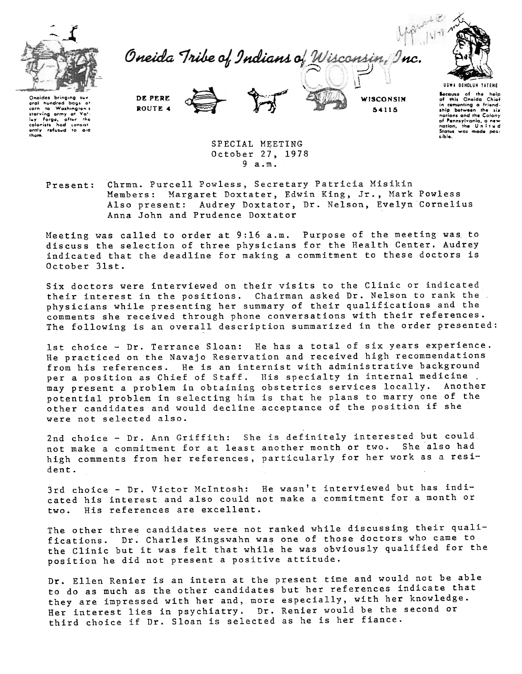

Oneida Tribe of Indians of Wisconsin



Onoidas bringing suv eral hundred bags of<br>corn to Washington's corn starving army at Value<br>ley Forge, after the<br>colonists had consist offer the<br>calonists had consist<br>antly refused to aid<br>tham. DE PERE ROUTE 4





Because of the help<br>of this Oneida Chief<br>in comenting a friend-<br>ship between the six<br>nations and the Colony of Pennsylvania, a new<br>nation, the United<br>States was made possible.

SPECIAL MEETING October 27, 1978  $9 a.m.$ 

Present: Chrmn. Purcell Powless, Secretary Patricia Misikin Members: Margaret Doxtater, Edwin King, Jr., Mark Powless Also present: Audrey Doxtator, Dr. Nelson, Evelyn Cornelius Anna John and Prudence Doxtator

Meeting was called to order at 9:16 a.m. Purpose of the meeting was to discuss the selection of three physicians for the Health Center. Audrey indicated that the deadline for making a commitment to these doctors is October 31st.

Six doctors were interviewed on their visits to the Clinic or indicated their interest in the positions. Chairman asked Dr. Nelson to rank the physicians while presenting her summary of their qualifications and the comments she received through phone conversations with their references. The following is an overall description summarized in the order presented:

1st choice - Dr. Terrance Sloan: He has a total of six years experience. He practiced on the Navajo Reservation and received high recommendations from his references. He is an internist with administrative background per a position as Chief of Staff. His specialty in internal medicine. may present a problem in obtaining obstetrics services locally. Another potential problem in selecting him is that he plans to marry one of the other candidates and would decline acceptance of the position if she were not selected also.

2nd choice - Dr. Ann Griffith: She is definitely interested but could not make a commitment for at least another month or two. She also had high comments from her references, particularly for her work as a resident.

3rd choice - Dr. Victor McIntosh: He wasn't interviewed but has indicated his interest and also could not make a commitment for a month or two. His references are excellent.

The other three candidates were not ranked while discussing their qualifications. Dr. Charles Kingswahn was one of those doctors who came to the Clinic but it was felt that while he was obviously qualified for the position he did not present a positive attitude.

Dr. Ellen Renier is an intern at the present time and would not be able to do as much as the other candidates but her references indicate that they are impressed with her and, more especially, with her knowledge. Her interest lies in psychiatry. Dr. Renier would be the second or third choice if Dr. Sloan is selected as he is her fiance.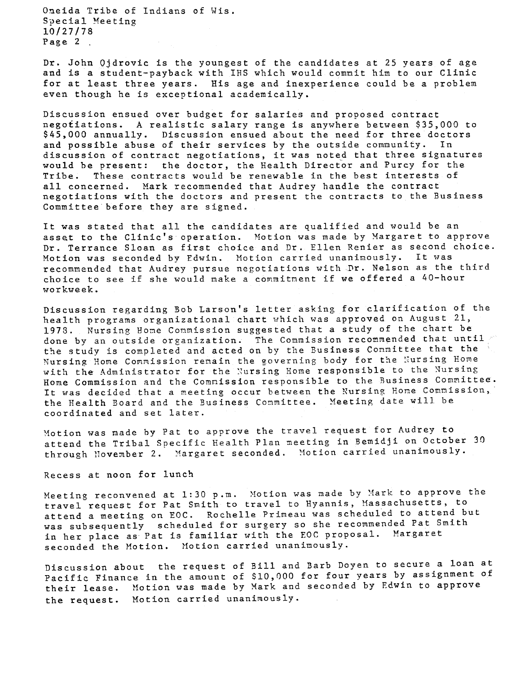Oneida Tribe of Indians of Wis. Special Meeting 10/27/78 Page 2 .

Dr. John Qjdrovic is the youngest of the candidates at 25 years of age and is a student-payback with IRS which would comnit him to our Clinic for at least three years. His age and inexperience could be a problem even though he is exceptional academically.

Discussion ensued over budget for salaries and proposed contract negotiations. A realistic salary range is anywhere between \$35,000 to \$45,000 annually. Discussion ensued about the need for three doctors and possible abuse of their services by the outside community. In discussion of contract negotiations, it was noted that three signatures would be present: the doctor, the Health Director and Purcy for the These contracts would be renewable in the best interests of Tribe. all concerned. Mark recommended that Audrey handle the contract negotiations with the doctors and present the contracts to the Business Committee before they are signed.

It was stated that all the candidates are qualified and would be an asset to the Clinic's operation. Motion was made by Margaret to approve Dr. Terrance Sloan as first choice and Dr. Ellen Renier as second choice. Motion was seconded by Edwin. Motion carried unanimously. It was recommended that Audrey pursue negotiations with .Dr. Nelson as the third choice to see if she would make a commitment if we offered a 40-hour \york\yeek.

Discussion regarding Bob Larson's letter asking for clarification of the health programs organizational chart which was approved on August 21, 1978. Nursing Home Commission suggested that a study of the chart be done by an outside organization. The Commission recommended that until the study is completed and acted on by the Business Committee that the Nursing Home Commission remain the governing body for the Nursing Home with the Administrator for the Nursing Home responsible to the Nursing Home Commission and the Commission responsible to the Business Committee. It was decided that a meeting occur between the Nursing Home Commission, the Health Board and the Business Committee. Meeting date will be coordinated and set later.

Motion was made by Pat to approve the travel request for Audrey to attend the Tribal Specific Health Plan meeting in Bemidji on October 30 through November 2. Margaret seconded. Motion carried unanimously.

Recess at noon for lunch

Meeting reconvened at 1:30 p.m. Motion was made by Mark to approve the travel request for Pat Smith to travel to Hyannis, Massachusetts, to at tend a meeting on EOC. Rochelle Primeau was scheduled to attend but was subsequently scheduled for surgery so she recommended Pat Smith in her place as Pat is familiar with the EOC proposal. Margaret seconded the Motion. Motion carried unanimously.

Discussion about the request of Bill and Barb Doyen to secure a loan at Pacific Finance in the amount of \$10,000 for four years by assignment of their lease. Motion was made by Mark and seconded by Edwin to approve the request. Motion carried unanimously.